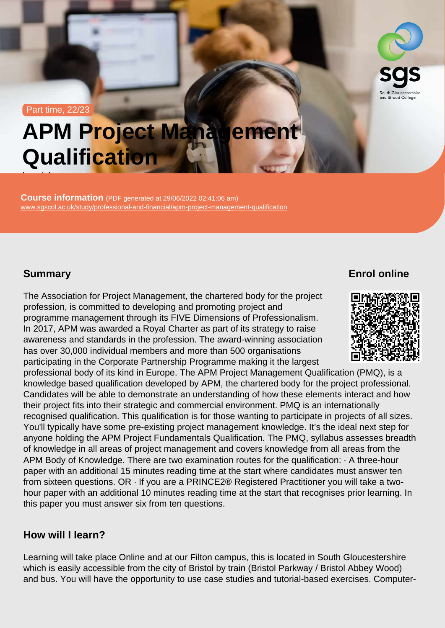#### Part time, 22/23

# APM Project Management **Qualification**

Course information (PDF generated at 29/06/2022 02:41:06 am) [www.sgscol.ac.uk/study/professional-and-financial/apm-project-management-qualification](https://www.sgscol.ac.uk/study/professional-and-financial/apm-project-management-qualification)

## **Summary**

Level 4

Enrol online

The Association for Project Management, the chartered body for the project profession, is committed to developing and promoting project and programme management through its FIVE Dimensions of Professionalism. In 2017, APM was awarded a Royal Charter as part of its strategy to raise awareness and standards in the profession. The award-winning association has over 30,000 individual members and more than 500 organisations participating in the Corporate Partnership Programme making it the largest professional body of its kind in Europe. The APM Project Management Qualification (PMQ), is a knowledge based qualification developed by APM, the chartered body for the project professional. Candidates will be able to demonstrate an understanding of how these elements interact and how their project fits into their strategic and commercial environment. PMQ is an internationally recognised qualification. This qualification is for those wanting to participate in projects of all sizes. You'll typically have some pre-existing project management knowledge. It's the ideal next step for anyone holding the APM Project Fundamentals Qualification. The PMQ, syllabus assesses breadth of knowledge in all areas of project management and covers knowledge from all areas from the APM Body of Knowledge. There are two examination routes for the qualification: · A three-hour paper with an additional 15 minutes reading time at the start where candidates must answer ten from sixteen questions. OR · If you are a PRINCE2® Registered Practitioner you will take a twohour paper with an additional 10 minutes reading time at the start that recognises prior learning. In this paper you must answer six from ten questions.

### How will I learn?

Learning will take place Online and at our Filton campus, this is located in South Gloucestershire which is easily accessible from the city of Bristol by train (Bristol Parkway / Bristol Abbey Wood) and bus. You will have the opportunity to use case studies and tutorial-based exercises. Computer